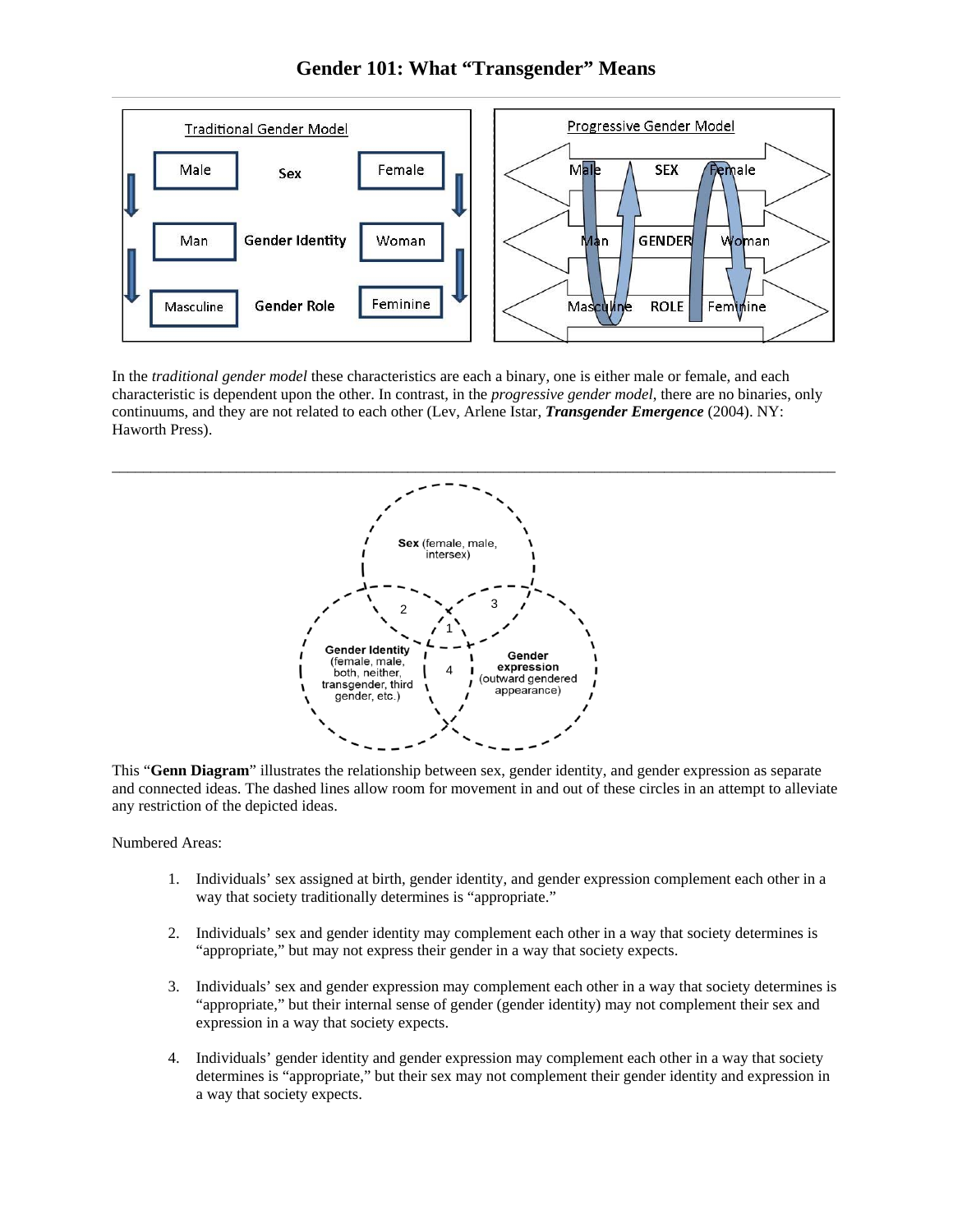**Gender 101: What "Transgender" Means** 



In the *traditional gender model* these characteristics are each a binary, one is either male or female, and each characteristic is dependent upon the other. In contrast, in the *progressive gender model*, there are no binaries, only continuums, and they are not related to each other (Lev, Arlene Istar, *Transgender Emergence* (2004). NY: Haworth Press).



This "**Genn Diagram**" illustrates the relationship between sex, gender identity, and gender expression as separate and connected ideas. The dashed lines allow room for movement in and out of these circles in an attempt to alleviate any restriction of the depicted ideas.

Numbered Areas:

- 1. Individuals' sex assigned at birth, gender identity, and gender expression complement each other in a way that society traditionally determines is "appropriate."
- 2. Individuals' sex and gender identity may complement each other in a way that society determines is "appropriate," but may not express their gender in a way that society expects.
- 3. Individuals' sex and gender expression may complement each other in a way that society determines is "appropriate," but their internal sense of gender (gender identity) may not complement their sex and expression in a way that society expects.
- 4. Individuals' gender identity and gender expression may complement each other in a way that society determines is "appropriate," but their sex may not complement their gender identity and expression in a way that society expects.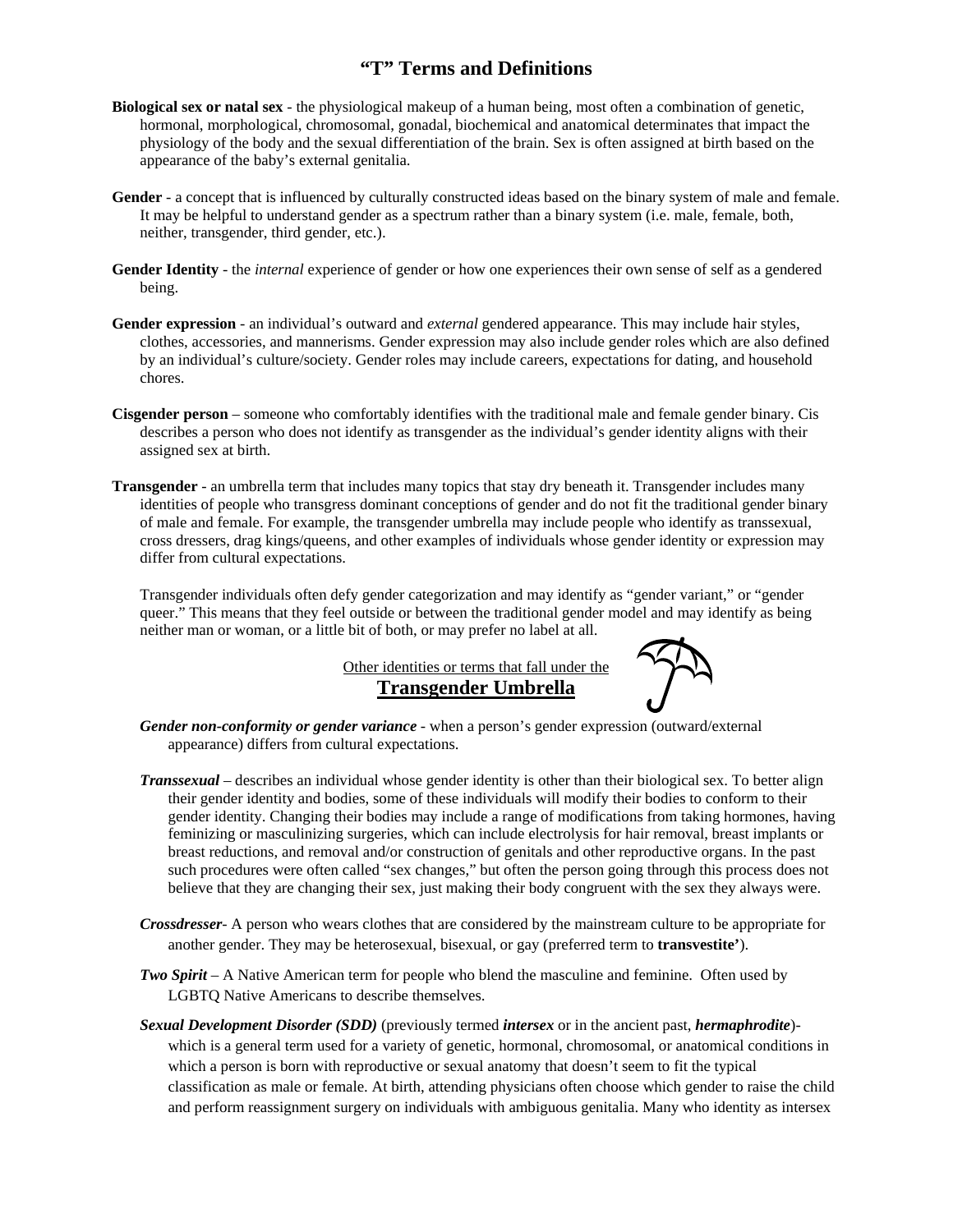## **"T" Terms and Definitions**

- **Biological sex or natal sex** the physiological makeup of a human being, most often a combination of genetic, hormonal, morphological, chromosomal, gonadal, biochemical and anatomical determinates that impact the physiology of the body and the sexual differentiation of the brain. Sex is often assigned at birth based on the appearance of the baby's external genitalia.
- **Gender** a concept that is influenced by culturally constructed ideas based on the binary system of male and female. It may be helpful to understand gender as a spectrum rather than a binary system (i.e. male, female, both, neither, transgender, third gender, etc.).
- **Gender Identity** the *internal* experience of gender or how one experiences their own sense of self as a gendered being.
- **Gender expression**  an individual's outward and *external* gendered appearance. This may include hair styles, clothes, accessories, and mannerisms. Gender expression may also include gender roles which are also defined by an individual's culture/society. Gender roles may include careers, expectations for dating, and household chores.
- **Cisgender person** someone who comfortably identifies with the traditional male and female gender binary. Cis describes a person who does not identify as transgender as the individual's gender identity aligns with their assigned sex at birth.
- **Transgender**  an umbrella term that includes many topics that stay dry beneath it. Transgender includes many identities of people who transgress dominant conceptions of gender and do not fit the traditional gender binary of male and female. For example, the transgender umbrella may include people who identify as transsexual, cross dressers, drag kings/queens, and other examples of individuals whose gender identity or expression may differ from cultural expectations.

Transgender individuals often defy gender categorization and may identify as "gender variant," or "gender queer." This means that they feel outside or between the traditional gender model and may identify as being neither man or woman, or a little bit of both, or may prefer no label at all.

> Other identities or terms that fall under the **Transgender Umbrella**



- *Gender non-conformity or gender variance* when a person's gender expression (outward/external appearance) differs from cultural expectations.
- *Transsexual* describes an individual whose gender identity is other than their biological sex. To better align their gender identity and bodies, some of these individuals will modify their bodies to conform to their gender identity. Changing their bodies may include a range of modifications from taking hormones, having feminizing or masculinizing surgeries, which can include electrolysis for hair removal, breast implants or breast reductions, and removal and/or construction of genitals and other reproductive organs. In the past such procedures were often called "sex changes," but often the person going through this process does not believe that they are changing their sex, just making their body congruent with the sex they always were.
- *Crossdresser* A person who wears clothes that are considered by the mainstream culture to be appropriate for another gender. They may be heterosexual, bisexual, or gay (preferred term to **transvestite'**).
- *Two Spirit* A Native American term for people who blend the masculine and feminine. Often used by LGBTQ Native Americans to describe themselves.
- *Sexual Development Disorder (SDD)* (previously termed *intersex* or in the ancient past, *hermaphrodite*) which is a general term used for a variety of genetic, hormonal, chromosomal, or anatomical conditions in which a person is born with reproductive or sexual anatomy that doesn't seem to fit the typical classification as male or female. At birth, attending physicians often choose which gender to raise the child and perform reassignment surgery on individuals with ambiguous genitalia. Many who identity as intersex